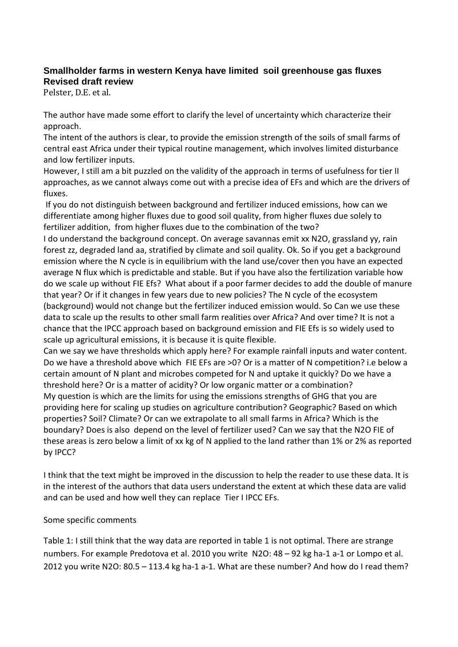## **Smallholder farms in western Kenya have limited soil greenhouse gas fluxes Revised draft review**

Pelster, D.E. et al.

The author have made some effort to clarify the level of uncertainty which characterize their approach.

The intent of the authors is clear, to provide the emission strength of the soils of small farms of central east Africa under their typical routine management, which involves limited disturbance and low fertilizer inputs.

However, I still am a bit puzzled on the validity of the approach in terms of usefulness for tier II approaches, as we cannot always come out with a precise idea of EFs and which are the drivers of fluxes.

If you do not distinguish between background and fertilizer induced emissions, how can we differentiate among higher fluxes due to good soil quality, from higher fluxes due solely to fertilizer addition, from higher fluxes due to the combination of the two?

I do understand the background concept. On average savannas emit xx N2O, grassland yy, rain forest zz, degraded land aa, stratified by climate and soil quality. Ok. So if you get a background emission where the N cycle is in equilibrium with the land use/cover then you have an expected average N flux which is predictable and stable. But if you have also the fertilization variable how do we scale up without FIE Efs? What about if a poor farmer decides to add the double of manure that year? Or if it changes in few years due to new policies? The N cycle of the ecosystem (background) would not change but the fertilizer induced emission would. So Can we use these data to scale up the results to other small farm realities over Africa? And over time? It is not a chance that the IPCC approach based on background emission and FIE Efs is so widely used to scale up agricultural emissions, it is because it is quite flexible.

Can we say we have thresholds which apply here? For example rainfall inputs and water content. Do we have a threshold above which FIE EFs are >0? Or is a matter of N competition? i.e below a certain amount of N plant and microbes competed for N and uptake it quickly? Do we have a threshold here? Or is a matter of acidity? Or low organic matter or a combination? My question is which are the limits for using the emissions strengths of GHG that you are providing here for scaling up studies on agriculture contribution? Geographic? Based on which properties? Soil? Climate? Or can we extrapolate to all small farms in Africa? Which is the boundary? Does is also depend on the level of fertilizer used? Can we say that the N2O FIE of these areas is zero below a limit of xx kg of N applied to the land rather than 1% or 2% as reported by IPCC?

I think that the text might be improved in the discussion to help the reader to use these data. It is in the interest of the authors that data users understand the extent at which these data are valid and can be used and how well they can replace Tier I IPCC EFs.

## Some specific comments

Table 1: I still think that the way data are reported in table 1 is not optimal. There are strange numbers. For example Predotova et al. 2010 you write N2O: 48 – 92 kg ha-1 a-1 or Lompo et al. 2012 you write N2O: 80.5 – 113.4 kg ha-1 a-1. What are these number? And how do I read them?